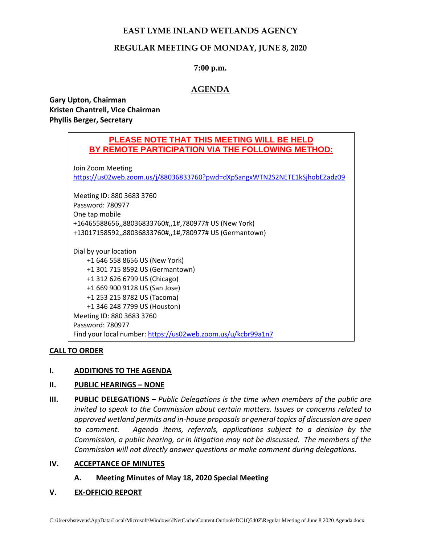# **EAST LYME INLAND WETLANDS AGENCY**

# **REGULAR MEETING OF MONDAY, JUNE 8, 2020**

## **7:00 p.m.**

# **AGENDA**

**Gary Upton, Chairman Kristen Chantrell, Vice Chairman Phyllis Berger, Secretary**

# **PLEASE NOTE THAT THIS MEETING WILL BE HELD BY REMOTE PARTICIPATION VIA THE FOLLOWING METHOD:**

Join Zoom Meeting

<https://us02web.zoom.us/j/88036833760?pwd=dXpSangxWTN2S2NETE1kSjhobEZadz09>

Meeting ID: 880 3683 3760 Password: 780977 One tap mobile +16465588656,,88036833760#,,1#,780977# US (New York) +13017158592,,88036833760#,,1#,780977# US (Germantown)

Dial by your location +1 646 558 8656 US (New York) +1 301 715 8592 US (Germantown) +1 312 626 6799 US (Chicago) +1 669 900 9128 US (San Jose) +1 253 215 8782 US (Tacoma) +1 346 248 7799 US (Houston) Meeting ID: 880 3683 3760 Password: 780977 Find your local number:<https://us02web.zoom.us/u/kcbr99a1n7>

#### **CALL TO ORDER**

#### **I. ADDITIONS TO THE AGENDA**

#### **II. PUBLIC HEARINGS – NONE**

**III. PUBLIC DELEGATIONS –** *Public Delegations is the time when members of the public are invited to speak to the Commission about certain matters. Issues or concerns related to approved wetland permits and in-house proposals or general topics of discussion are open to comment. Agenda items, referrals, applications subject to a decision by the Commission, a public hearing, or in litigation may not be discussed. The members of the Commission will not directly answer questions or make comment during delegations.*

#### **IV. ACCEPTANCE OF MINUTES**

**A. Meeting Minutes of May 18, 2020 Special Meeting**

#### **V. EX-OFFICIO REPORT**